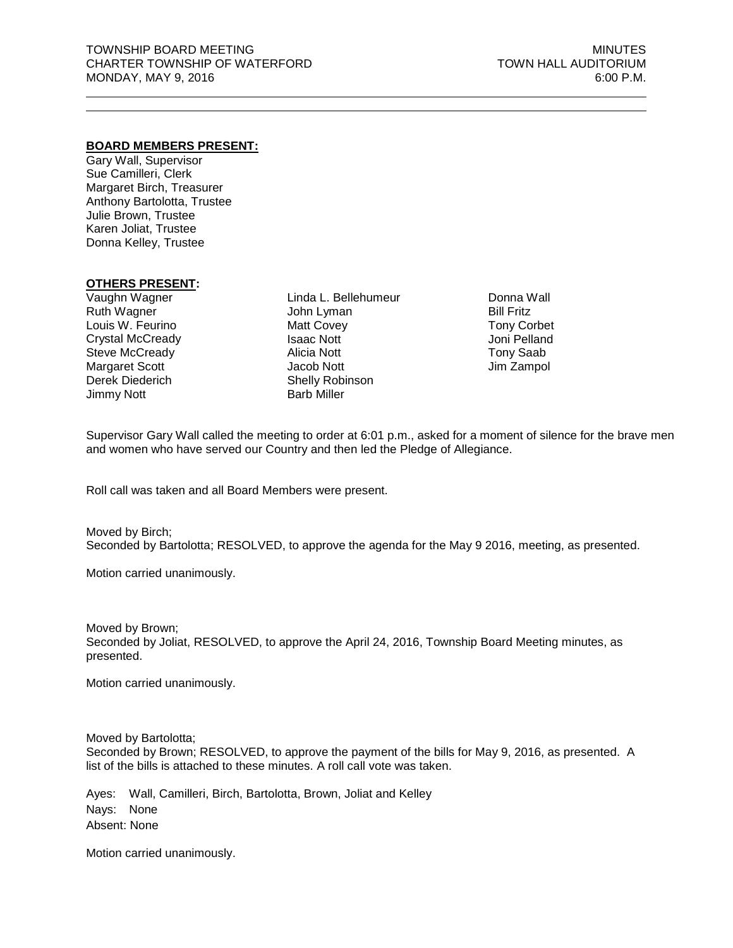#### **BOARD MEMBERS PRESENT:**

Gary Wall, Supervisor Sue Camilleri, Clerk Margaret Birch, Treasurer Anthony Bartolotta, Trustee Julie Brown, Trustee Karen Joliat, Trustee Donna Kelley, Trustee

### **OTHERS PRESENT:**

Vaughn Wagner Ruth Wagner Louis W. Feurino Crystal McCready Steve McCready Margaret Scott Derek Diederich Jimmy Nott

Linda L. Bellehumeur John Lyman Matt Covey Isaac Nott Alicia Nott Jacob Nott Shelly Robinson Barb Miller

Donna Wall Bill Fritz Tony Corbet Joni Pelland Tony Saab Jim Zampol

Supervisor Gary Wall called the meeting to order at 6:01 p.m., asked for a moment of silence for the brave men and women who have served our Country and then led the Pledge of Allegiance.

Roll call was taken and all Board Members were present.

Moved by Birch; Seconded by Bartolotta; RESOLVED, to approve the agenda for the May 9 2016, meeting, as presented.

Motion carried unanimously.

Moved by Brown; Seconded by Joliat, RESOLVED, to approve the April 24, 2016, Township Board Meeting minutes, as presented.

Motion carried unanimously.

Moved by Bartolotta; Seconded by Brown; RESOLVED, to approve the payment of the bills for May 9, 2016, as presented. A list of the bills is attached to these minutes. A roll call vote was taken.

Ayes: Wall, Camilleri, Birch, Bartolotta, Brown, Joliat and Kelley Nays: None Absent: None

Motion carried unanimously.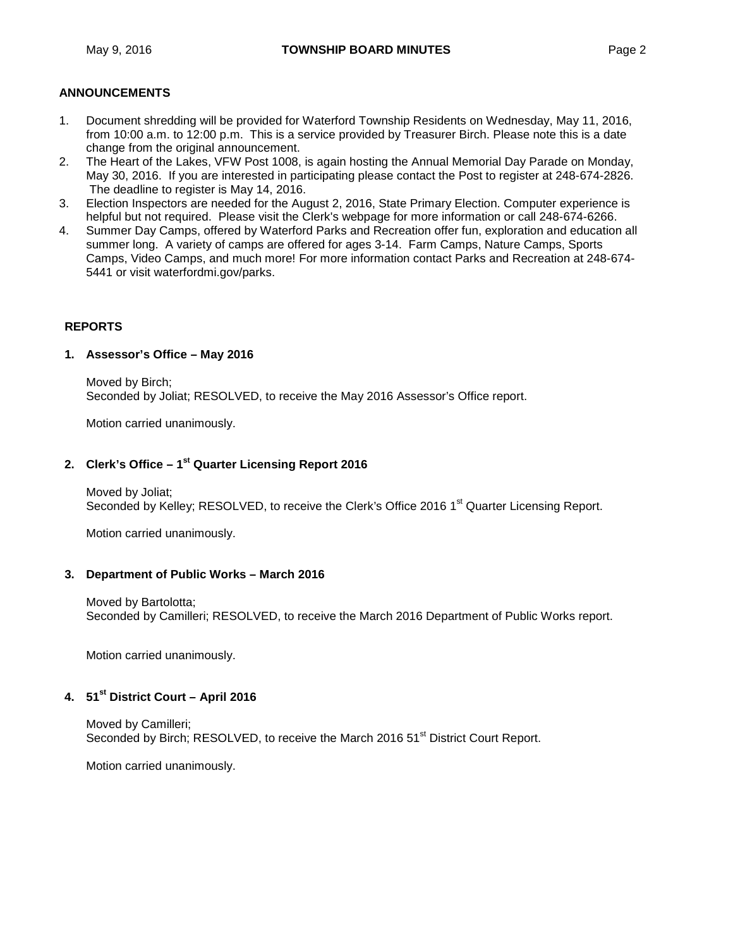# **ANNOUNCEMENTS**

- 1. Document shredding will be provided for Waterford Township Residents on Wednesday, May 11, 2016, from 10:00 a.m. to 12:00 p.m. This is a service provided by Treasurer Birch. Please note this is a date change from the original announcement.
- 2. The Heart of the Lakes, VFW Post 1008, is again hosting the Annual Memorial Day Parade on Monday, May 30, 2016. If you are interested in participating please contact the Post to register at 248-674-2826. The deadline to register is May 14, 2016.
- 3. Election Inspectors are needed for the August 2, 2016, State Primary Election. Computer experience is helpful but not required. Please visit the Clerk's [webpage](http://waterfordmi.gov/159/Election-Information) for more information or call 248-674-6266.
- 4. Summer Day Camps, offered by Waterford Parks and Recreation offer fun, exploration and education all summer long. A variety of camps are offered for ages 3-14. Farm Camps, Nature Camps, Sports Camps, Video Camps, and much more! For more information contact Parks and Recreation at 248-674- 5441 or visit waterfordmi.gov/parks.

### **REPORTS**

#### **1. Assessor's Office – May 2016**

Moved by Birch; Seconded by Joliat; RESOLVED, to receive the May 2016 Assessor's Office report.

Motion carried unanimously.

## **2. Clerk's Office – 1st Quarter Licensing Report 2016**

Moved by Joliat; Seconded by Kelley; RESOLVED, to receive the Clerk's Office 2016 1<sup>st</sup> Quarter Licensing Report.

Motion carried unanimously.

#### **3. Department of Public Works – March 2016**

Moved by Bartolotta; Seconded by Camilleri; RESOLVED, to receive the March 2016 Department of Public Works report.

Motion carried unanimously.

# **4. 51st District Court – April 2016**

Moved by Camilleri; Seconded by Birch; RESOLVED, to receive the March 2016 51<sup>st</sup> District Court Report.

Motion carried unanimously.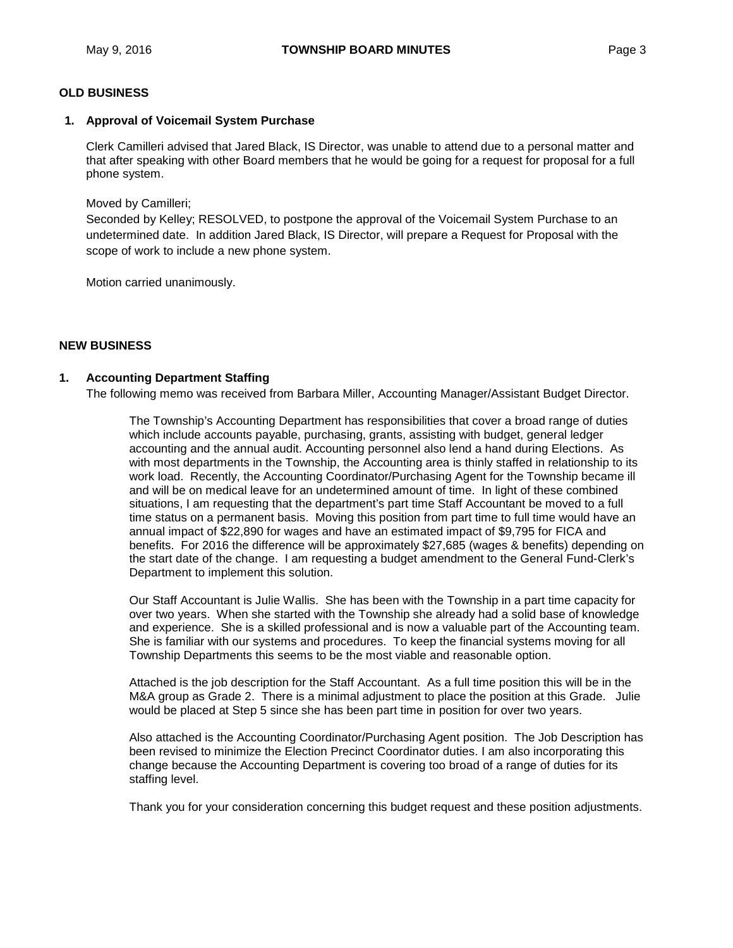# **OLD BUSINESS**

#### **1. Approval of Voicemail System Purchase**

Clerk Camilleri advised that Jared Black, IS Director, was unable to attend due to a personal matter and that after speaking with other Board members that he would be going for a request for proposal for a full phone system.

Moved by Camilleri;

Seconded by Kelley; RESOLVED, to postpone the approval of the Voicemail System Purchase to an undetermined date. In addition Jared Black, IS Director, will prepare a Request for Proposal with the scope of work to include a new phone system.

Motion carried unanimously.

### **NEW BUSINESS**

#### **1. Accounting Department Staffing**

The following memo was received from Barbara Miller, Accounting Manager/Assistant Budget Director.

The Township's Accounting Department has responsibilities that cover a broad range of duties which include accounts payable, purchasing, grants, assisting with budget, general ledger accounting and the annual audit. Accounting personnel also lend a hand during Elections. As with most departments in the Township, the Accounting area is thinly staffed in relationship to its work load. Recently, the Accounting Coordinator/Purchasing Agent for the Township became ill and will be on medical leave for an undetermined amount of time. In light of these combined situations, I am requesting that the department's part time Staff Accountant be moved to a full time status on a permanent basis. Moving this position from part time to full time would have an annual impact of \$22,890 for wages and have an estimated impact of \$9,795 for FICA and benefits. For 2016 the difference will be approximately \$27,685 (wages & benefits) depending on the start date of the change. I am requesting a budget amendment to the General Fund-Clerk's Department to implement this solution.

Our Staff Accountant is Julie Wallis. She has been with the Township in a part time capacity for over two years. When she started with the Township she already had a solid base of knowledge and experience. She is a skilled professional and is now a valuable part of the Accounting team. She is familiar with our systems and procedures. To keep the financial systems moving for all Township Departments this seems to be the most viable and reasonable option.

Attached is the job description for the Staff Accountant. As a full time position this will be in the M&A group as Grade 2. There is a minimal adjustment to place the position at this Grade. Julie would be placed at Step 5 since she has been part time in position for over two years.

Also attached is the Accounting Coordinator/Purchasing Agent position. The Job Description has been revised to minimize the Election Precinct Coordinator duties. I am also incorporating this change because the Accounting Department is covering too broad of a range of duties for its staffing level.

Thank you for your consideration concerning this budget request and these position adjustments.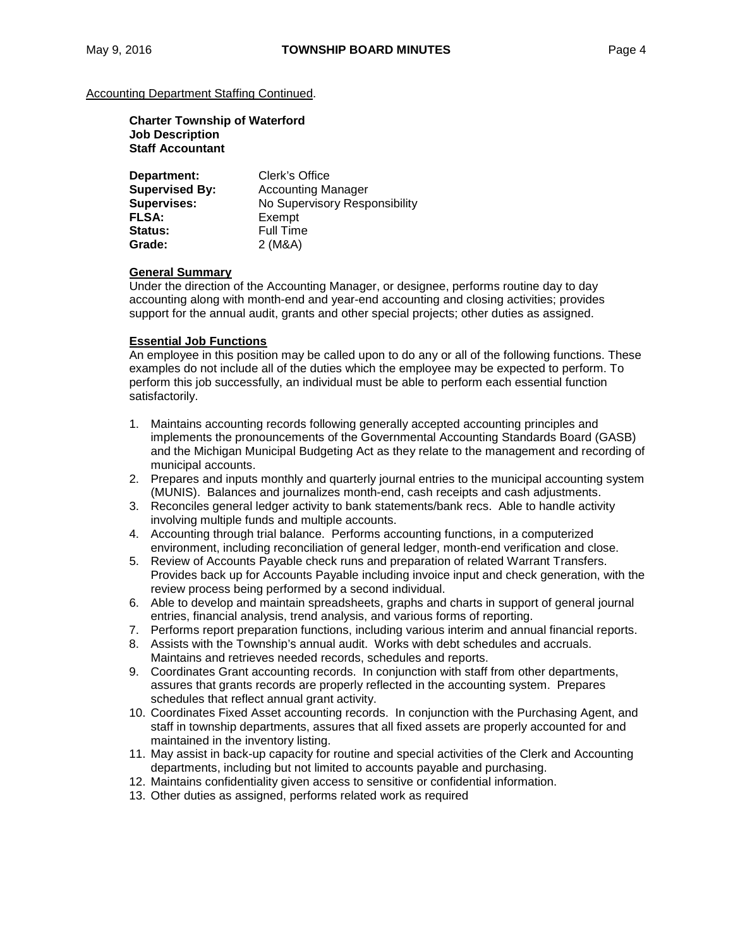#### **Charter Township of Waterford Job Description Staff Accountant**

| Department:           | Clerk's Office                |
|-----------------------|-------------------------------|
| <b>Supervised By:</b> | <b>Accounting Manager</b>     |
| <b>Supervises:</b>    | No Supervisory Responsibility |
| <b>FLSA:</b>          | Exempt                        |
| Status:               | <b>Full Time</b>              |
| Grade:                | 2 (M&A)                       |

#### **General Summary**

Under the direction of the Accounting Manager, or designee, performs routine day to day accounting along with month-end and year-end accounting and closing activities; provides support for the annual audit, grants and other special projects; other duties as assigned.

### **Essential Job Functions**

An employee in this position may be called upon to do any or all of the following functions. These examples do not include all of the duties which the employee may be expected to perform. To perform this job successfully, an individual must be able to perform each essential function satisfactorily.

- 1. Maintains accounting records following generally accepted accounting principles and implements the pronouncements of the Governmental Accounting Standards Board (GASB) and the Michigan Municipal Budgeting Act as they relate to the management and recording of municipal accounts.
- 2. Prepares and inputs monthly and quarterly journal entries to the municipal accounting system (MUNIS). Balances and journalizes month-end, cash receipts and cash adjustments.
- 3. Reconciles general ledger activity to bank statements/bank recs. Able to handle activity involving multiple funds and multiple accounts.
- 4. Accounting through trial balance. Performs accounting functions, in a computerized environment, including reconciliation of general ledger, month-end verification and close.
- 5. Review of Accounts Payable check runs and preparation of related Warrant Transfers. Provides back up for Accounts Payable including invoice input and check generation, with the review process being performed by a second individual.
- 6. Able to develop and maintain spreadsheets, graphs and charts in support of general journal entries, financial analysis, trend analysis, and various forms of reporting.
- 7. Performs report preparation functions, including various interim and annual financial reports.
- 8. Assists with the Township's annual audit. Works with debt schedules and accruals. Maintains and retrieves needed records, schedules and reports.
- 9. Coordinates Grant accounting records. In conjunction with staff from other departments, assures that grants records are properly reflected in the accounting system. Prepares schedules that reflect annual grant activity.
- 10. Coordinates Fixed Asset accounting records. In conjunction with the Purchasing Agent, and staff in township departments, assures that all fixed assets are properly accounted for and maintained in the inventory listing.
- 11. May assist in back-up capacity for routine and special activities of the Clerk and Accounting departments, including but not limited to accounts payable and purchasing.
- 12. Maintains confidentiality given access to sensitive or confidential information.
- 13. Other duties as assigned, performs related work as required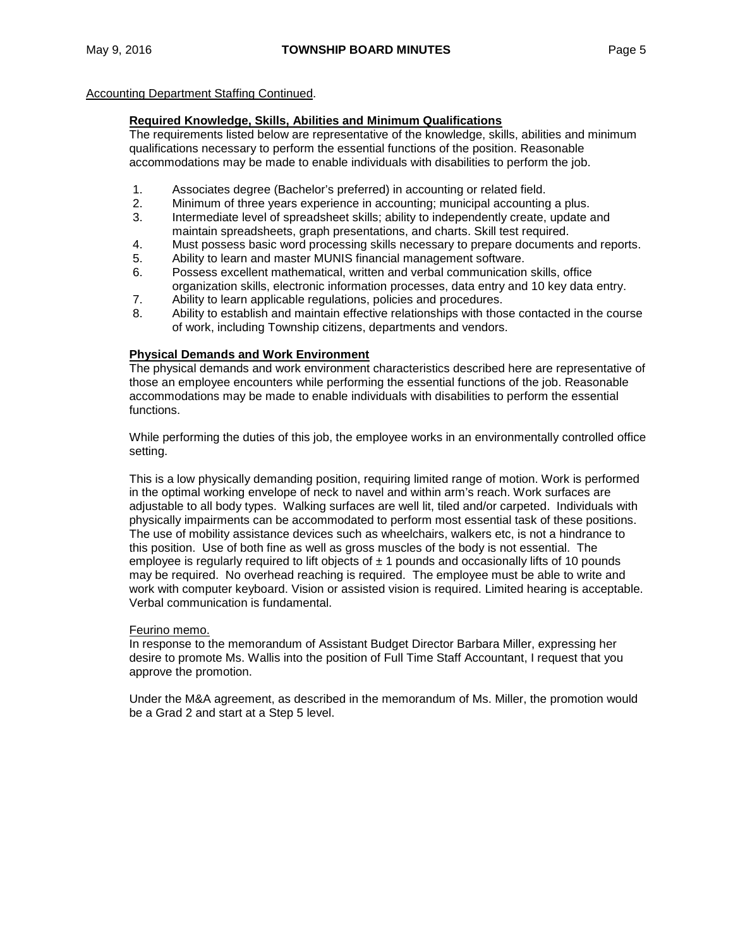#### **Required Knowledge, Skills, Abilities and Minimum Qualifications**

The requirements listed below are representative of the knowledge, skills, abilities and minimum qualifications necessary to perform the essential functions of the position. Reasonable accommodations may be made to enable individuals with disabilities to perform the job.

- 1. Associates degree (Bachelor's preferred) in accounting or related field.<br>2. Minimum of three vears experience in accounting: municipal accounting
- 2. Minimum of three years experience in accounting; municipal accounting a plus.
- 3. Intermediate level of spreadsheet skills; ability to independently create, update and maintain spreadsheets, graph presentations, and charts. Skill test required.
- 4. Must possess basic word processing skills necessary to prepare documents and reports.
- 5. Ability to learn and master MUNIS financial management software.
- 6. Possess excellent mathematical, written and verbal communication skills, office organization skills, electronic information processes, data entry and 10 key data entry.
- 7. Ability to learn applicable regulations, policies and procedures.
- 8. Ability to establish and maintain effective relationships with those contacted in the course of work, including Township citizens, departments and vendors.

### **Physical Demands and Work Environment**

The physical demands and work environment characteristics described here are representative of those an employee encounters while performing the essential functions of the job. Reasonable accommodations may be made to enable individuals with disabilities to perform the essential functions.

While performing the duties of this job, the employee works in an environmentally controlled office setting.

This is a low physically demanding position, requiring limited range of motion. Work is performed in the optimal working envelope of neck to navel and within arm's reach. Work surfaces are adjustable to all body types. Walking surfaces are well lit, tiled and/or carpeted. Individuals with physically impairments can be accommodated to perform most essential task of these positions. The use of mobility assistance devices such as wheelchairs, walkers etc, is not a hindrance to this position. Use of both fine as well as gross muscles of the body is not essential. The employee is regularly required to lift objects of  $\pm 1$  pounds and occasionally lifts of 10 pounds may be required. No overhead reaching is required. The employee must be able to write and work with computer keyboard. Vision or assisted vision is required. Limited hearing is acceptable. Verbal communication is fundamental.

#### Feurino memo.

In response to the memorandum of Assistant Budget Director Barbara Miller, expressing her desire to promote Ms. Wallis into the position of Full Time Staff Accountant, I request that you approve the promotion.

Under the M&A agreement, as described in the memorandum of Ms. Miller, the promotion would be a Grad 2 and start at a Step 5 level.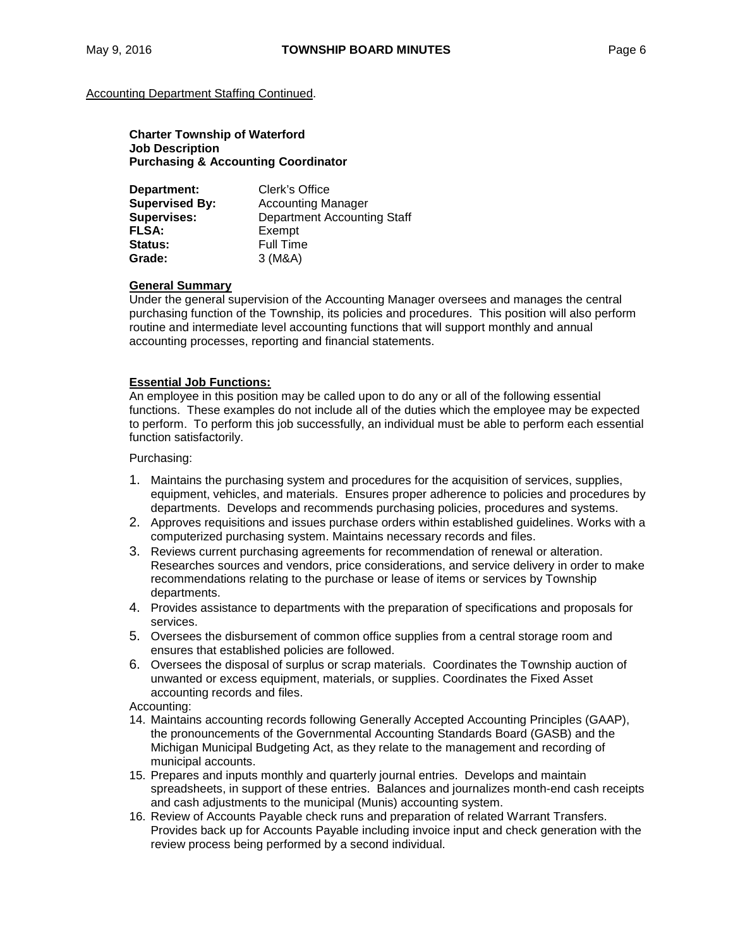**Charter Township of Waterford Job Description Purchasing & Accounting Coordinator**

| Department:           | Clerk's Office                     |
|-----------------------|------------------------------------|
| <b>Supervised By:</b> | <b>Accounting Manager</b>          |
| <b>Supervises:</b>    | <b>Department Accounting Staff</b> |
| <b>FLSA:</b>          | Exempt                             |
| Status:               | <b>Full Time</b>                   |
| Grade:                | 3(M&A)                             |

#### **General Summary**

Under the general supervision of the Accounting Manager oversees and manages the central purchasing function of the Township, its policies and procedures. This position will also perform routine and intermediate level accounting functions that will support monthly and annual accounting processes, reporting and financial statements.

#### **Essential Job Functions:**

An employee in this position may be called upon to do any or all of the following essential functions. These examples do not include all of the duties which the employee may be expected to perform. To perform this job successfully, an individual must be able to perform each essential function satisfactorily.

Purchasing:

- 1. Maintains the purchasing system and procedures for the acquisition of services, supplies, equipment, vehicles, and materials. Ensures proper adherence to policies and procedures by departments. Develops and recommends purchasing policies, procedures and systems.
- 2. Approves requisitions and issues purchase orders within established guidelines. Works with a computerized purchasing system. Maintains necessary records and files.
- 3. Reviews current purchasing agreements for recommendation of renewal or alteration. Researches sources and vendors, price considerations, and service delivery in order to make recommendations relating to the purchase or lease of items or services by Township departments.
- 4. Provides assistance to departments with the preparation of specifications and proposals for services.
- 5. Oversees the disbursement of common office supplies from a central storage room and ensures that established policies are followed.
- 6. Oversees the disposal of surplus or scrap materials. Coordinates the Township auction of unwanted or excess equipment, materials, or supplies. Coordinates the Fixed Asset accounting records and files.

Accounting:

- 14. Maintains accounting records following Generally Accepted Accounting Principles (GAAP), the pronouncements of the Governmental Accounting Standards Board (GASB) and the Michigan Municipal Budgeting Act, as they relate to the management and recording of municipal accounts.
- 15. Prepares and inputs monthly and quarterly journal entries. Develops and maintain spreadsheets, in support of these entries. Balances and journalizes month-end cash receipts and cash adjustments to the municipal (Munis) accounting system.
- 16. Review of Accounts Payable check runs and preparation of related Warrant Transfers. Provides back up for Accounts Payable including invoice input and check generation with the review process being performed by a second individual.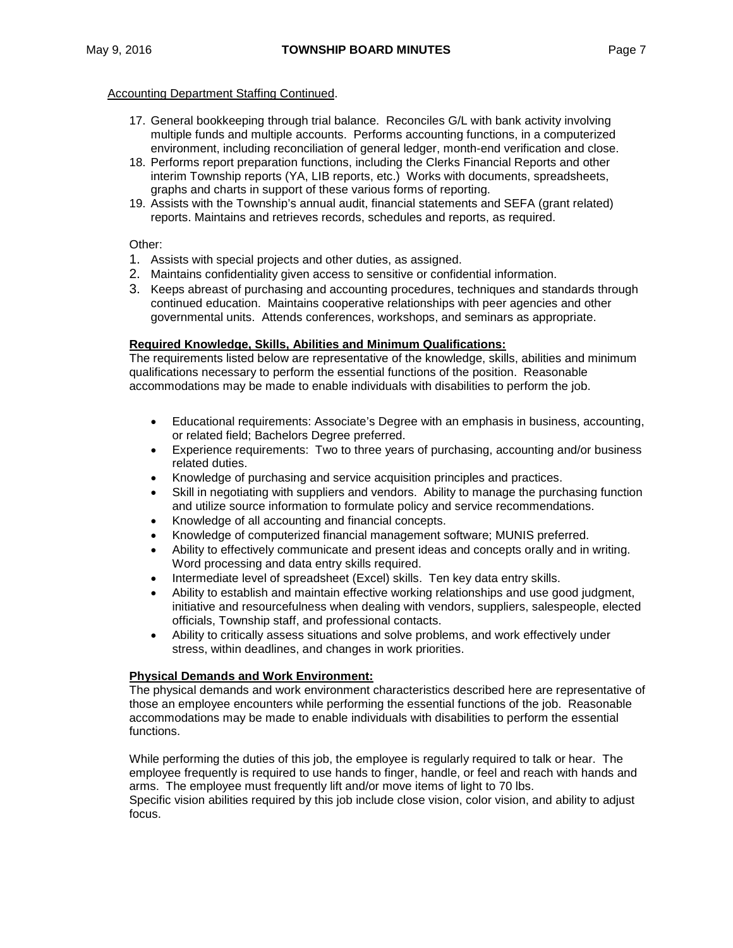- 17. General bookkeeping through trial balance. Reconciles G/L with bank activity involving multiple funds and multiple accounts. Performs accounting functions, in a computerized environment, including reconciliation of general ledger, month-end verification and close.
- 18. Performs report preparation functions, including the Clerks Financial Reports and other interim Township reports (YA, LIB reports, etc.) Works with documents, spreadsheets, graphs and charts in support of these various forms of reporting.
- 19. Assists with the Township's annual audit, financial statements and SEFA (grant related) reports. Maintains and retrieves records, schedules and reports, as required.

Other:

- 1. Assists with special projects and other duties, as assigned.
- 2. Maintains confidentiality given access to sensitive or confidential information.
- 3. Keeps abreast of purchasing and accounting procedures, techniques and standards through continued education. Maintains cooperative relationships with peer agencies and other governmental units. Attends conferences, workshops, and seminars as appropriate.

### **Required Knowledge, Skills, Abilities and Minimum Qualifications:**

The requirements listed below are representative of the knowledge, skills, abilities and minimum qualifications necessary to perform the essential functions of the position. Reasonable accommodations may be made to enable individuals with disabilities to perform the job.

- Educational requirements: Associate's Degree with an emphasis in business, accounting, or related field; Bachelors Degree preferred.
- Experience requirements: Two to three years of purchasing, accounting and/or business related duties.
- Knowledge of purchasing and service acquisition principles and practices.
- Skill in negotiating with suppliers and vendors. Ability to manage the purchasing function and utilize source information to formulate policy and service recommendations.
- Knowledge of all accounting and financial concepts.
- Knowledge of computerized financial management software; MUNIS preferred.
- Ability to effectively communicate and present ideas and concepts orally and in writing. Word processing and data entry skills required.
- Intermediate level of spreadsheet (Excel) skills. Ten key data entry skills.
- Ability to establish and maintain effective working relationships and use good judgment, initiative and resourcefulness when dealing with vendors, suppliers, salespeople, elected officials, Township staff, and professional contacts.
- Ability to critically assess situations and solve problems, and work effectively under stress, within deadlines, and changes in work priorities.

# **Physical Demands and Work Environment:**

The physical demands and work environment characteristics described here are representative of those an employee encounters while performing the essential functions of the job. Reasonable accommodations may be made to enable individuals with disabilities to perform the essential functions.

While performing the duties of this job, the employee is regularly required to talk or hear. The employee frequently is required to use hands to finger, handle, or feel and reach with hands and arms. The employee must frequently lift and/or move items of light to 70 lbs.

Specific vision abilities required by this job include close vision, color vision, and ability to adjust focus.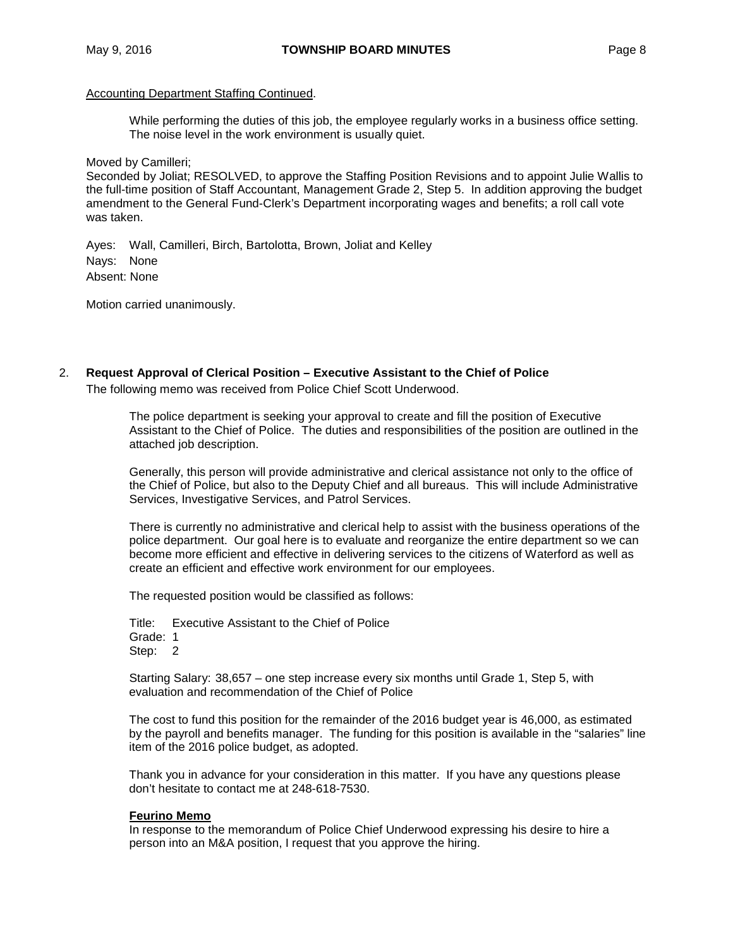While performing the duties of this job, the employee regularly works in a business office setting. The noise level in the work environment is usually quiet.

Moved by Camilleri;

Seconded by Joliat; RESOLVED, to approve the Staffing Position Revisions and to appoint Julie Wallis to the full-time position of Staff Accountant, Management Grade 2, Step 5. In addition approving the budget amendment to the General Fund-Clerk's Department incorporating wages and benefits; a roll call vote was taken.

Ayes: Wall, Camilleri, Birch, Bartolotta, Brown, Joliat and Kelley Nays: None Absent: None

Motion carried unanimously.

2. **Request Approval of Clerical Position – Executive Assistant to the Chief of Police**

The following memo was received from Police Chief Scott Underwood.

The police department is seeking your approval to create and fill the position of Executive Assistant to the Chief of Police. The duties and responsibilities of the position are outlined in the attached job description.

Generally, this person will provide administrative and clerical assistance not only to the office of the Chief of Police, but also to the Deputy Chief and all bureaus. This will include Administrative Services, Investigative Services, and Patrol Services.

There is currently no administrative and clerical help to assist with the business operations of the police department. Our goal here is to evaluate and reorganize the entire department so we can become more efficient and effective in delivering services to the citizens of Waterford as well as create an efficient and effective work environment for our employees.

The requested position would be classified as follows:

Title: Executive Assistant to the Chief of Police Grade: 1 Step: 2

Starting Salary: 38,657 – one step increase every six months until Grade 1, Step 5, with evaluation and recommendation of the Chief of Police

The cost to fund this position for the remainder of the 2016 budget year is 46,000, as estimated by the payroll and benefits manager. The funding for this position is available in the "salaries" line item of the 2016 police budget, as adopted.

Thank you in advance for your consideration in this matter. If you have any questions please don't hesitate to contact me at 248-618-7530.

#### **Feurino Memo**

In response to the memorandum of Police Chief Underwood expressing his desire to hire a person into an M&A position, I request that you approve the hiring.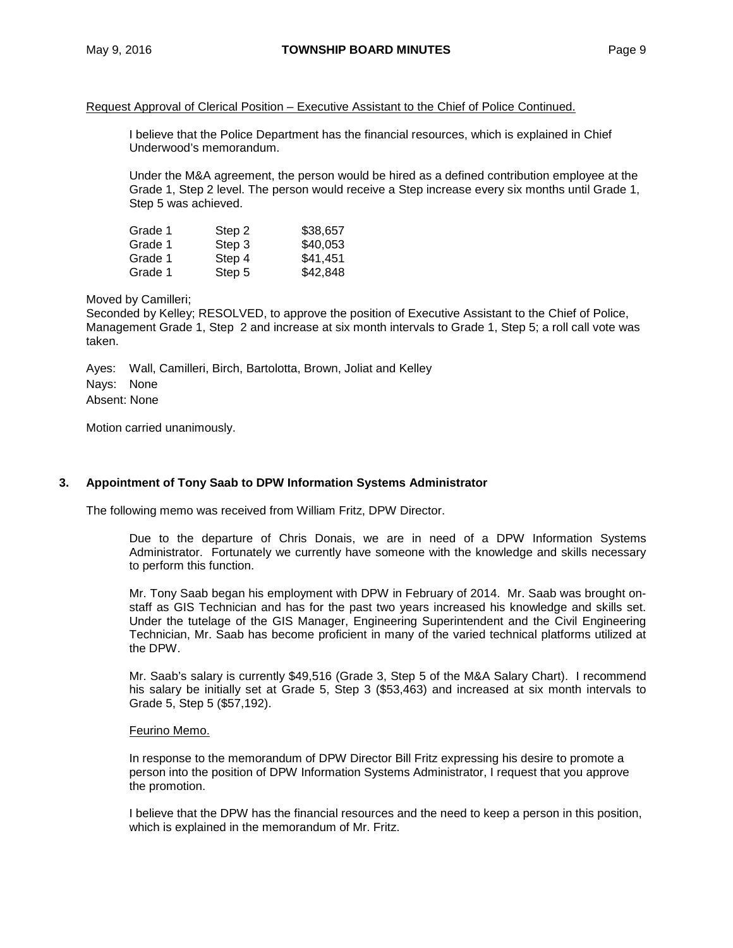#### Request Approval of Clerical Position – Executive Assistant to the Chief of Police Continued.

I believe that the Police Department has the financial resources, which is explained in Chief Underwood's memorandum.

Under the M&A agreement, the person would be hired as a defined contribution employee at the Grade 1, Step 2 level. The person would receive a Step increase every six months until Grade 1, Step 5 was achieved.

| Grade 1 | Step 2 | \$38,657 |
|---------|--------|----------|
| Grade 1 | Step 3 | \$40,053 |
| Grade 1 | Step 4 | \$41,451 |
| Grade 1 | Step 5 | \$42,848 |

#### Moved by Camilleri;

Seconded by Kelley; RESOLVED, to approve the position of Executive Assistant to the Chief of Police, Management Grade 1, Step 2 and increase at six month intervals to Grade 1, Step 5; a roll call vote was taken.

Ayes: Wall, Camilleri, Birch, Bartolotta, Brown, Joliat and Kelley Nays: None Absent: None

Motion carried unanimously.

#### **3. Appointment of Tony Saab to DPW Information Systems Administrator**

The following memo was received from William Fritz, DPW Director.

Due to the departure of Chris Donais, we are in need of a DPW Information Systems Administrator. Fortunately we currently have someone with the knowledge and skills necessary to perform this function.

Mr. Tony Saab began his employment with DPW in February of 2014. Mr. Saab was brought onstaff as GIS Technician and has for the past two years increased his knowledge and skills set. Under the tutelage of the GIS Manager, Engineering Superintendent and the Civil Engineering Technician, Mr. Saab has become proficient in many of the varied technical platforms utilized at the DPW.

Mr. Saab's salary is currently \$49,516 (Grade 3, Step 5 of the M&A Salary Chart). I recommend his salary be initially set at Grade 5, Step 3 (\$53,463) and increased at six month intervals to Grade 5, Step 5 (\$57,192).

### Feurino Memo.

In response to the memorandum of DPW Director Bill Fritz expressing his desire to promote a person into the position of DPW Information Systems Administrator, I request that you approve the promotion.

I believe that the DPW has the financial resources and the need to keep a person in this position, which is explained in the memorandum of Mr. Fritz.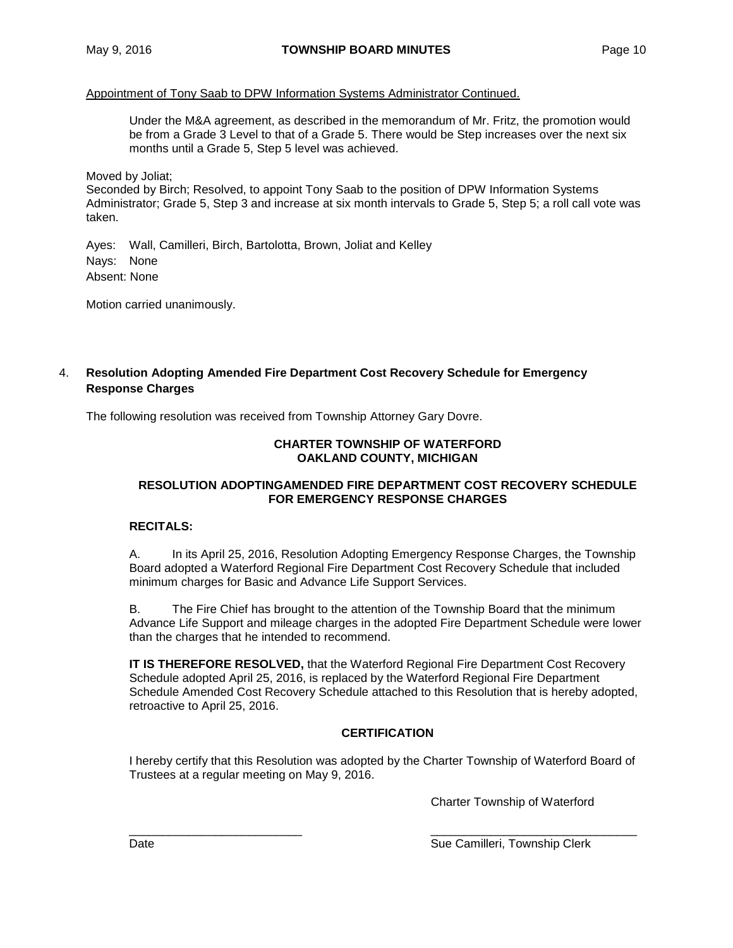## Appointment of Tony Saab to DPW Information Systems Administrator Continued.

Under the M&A agreement, as described in the memorandum of Mr. Fritz, the promotion would be from a Grade 3 Level to that of a Grade 5. There would be Step increases over the next six months until a Grade 5, Step 5 level was achieved.

Moved by Joliat;

Seconded by Birch; Resolved, to appoint Tony Saab to the position of DPW Information Systems Administrator; Grade 5, Step 3 and increase at six month intervals to Grade 5, Step 5; a roll call vote was taken.

Ayes: Wall, Camilleri, Birch, Bartolotta, Brown, Joliat and Kelley Nays: None Absent: None

Motion carried unanimously.

# 4. **Resolution Adopting Amended Fire Department Cost Recovery Schedule for Emergency Response Charges**

The following resolution was received from Township Attorney Gary Dovre.

# **CHARTER TOWNSHIP OF WATERFORD OAKLAND COUNTY, MICHIGAN**

# **RESOLUTION ADOPTINGAMENDED FIRE DEPARTMENT COST RECOVERY SCHEDULE FOR EMERGENCY RESPONSE CHARGES**

# **RECITALS:**

A. In its April 25, 2016, Resolution Adopting Emergency Response Charges, the Township Board adopted a Waterford Regional Fire Department Cost Recovery Schedule that included minimum charges for Basic and Advance Life Support Services.

B. The Fire Chief has brought to the attention of the Township Board that the minimum Advance Life Support and mileage charges in the adopted Fire Department Schedule were lower than the charges that he intended to recommend.

**IT IS THEREFORE RESOLVED,** that the Waterford Regional Fire Department Cost Recovery Schedule adopted April 25, 2016, is replaced by the Waterford Regional Fire Department Schedule Amended Cost Recovery Schedule attached to this Resolution that is hereby adopted, retroactive to April 25, 2016.

# **CERTIFICATION**

I hereby certify that this Resolution was adopted by the Charter Township of Waterford Board of Trustees at a regular meeting on May 9, 2016.

Charter Township of Waterford

\_\_\_\_\_\_\_\_\_\_\_\_\_\_\_\_\_\_\_\_\_\_\_\_\_\_ \_\_\_\_\_\_\_\_\_\_\_\_\_\_\_\_\_\_\_\_\_\_\_\_\_\_\_\_\_\_\_ Date **Sue Camilleri, Township Clerk** Sue Camilleri, Township Clerk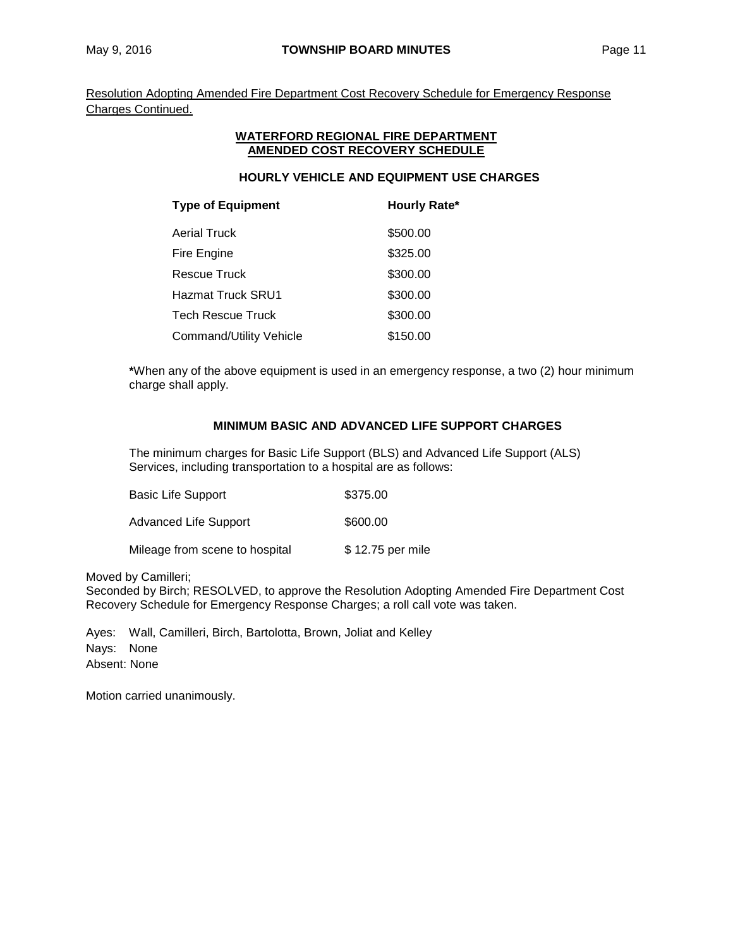Resolution Adopting Amended Fire Department Cost Recovery Schedule for Emergency Response Charges Continued.

#### **WATERFORD REGIONAL FIRE DEPARTMENT AMENDED COST RECOVERY SCHEDULE**

# **HOURLY VEHICLE AND EQUIPMENT USE CHARGES**

| <b>Type of Equipment</b>       | <b>Hourly Rate*</b> |
|--------------------------------|---------------------|
| <b>Aerial Truck</b>            | \$500.00            |
| Fire Engine                    | \$325.00            |
| <b>Rescue Truck</b>            | \$300.00            |
| <b>Hazmat Truck SRU1</b>       | \$300.00            |
| <b>Tech Rescue Truck</b>       | \$300.00            |
| <b>Command/Utility Vehicle</b> | \$150.00            |

**\***When any of the above equipment is used in an emergency response, a two (2) hour minimum charge shall apply.

# **MINIMUM BASIC AND ADVANCED LIFE SUPPORT CHARGES**

The minimum charges for Basic Life Support (BLS) and Advanced Life Support (ALS) Services, including transportation to a hospital are as follows:

| Basic Life Support             | \$375.00         |
|--------------------------------|------------------|
| Advanced Life Support          | \$600.00         |
| Mileage from scene to hospital | \$12.75 per mile |

Moved by Camilleri;

Seconded by Birch; RESOLVED, to approve the Resolution Adopting Amended Fire Department Cost Recovery Schedule for Emergency Response Charges; a roll call vote was taken.

Ayes: Wall, Camilleri, Birch, Bartolotta, Brown, Joliat and Kelley Nays: None Absent: None

Motion carried unanimously.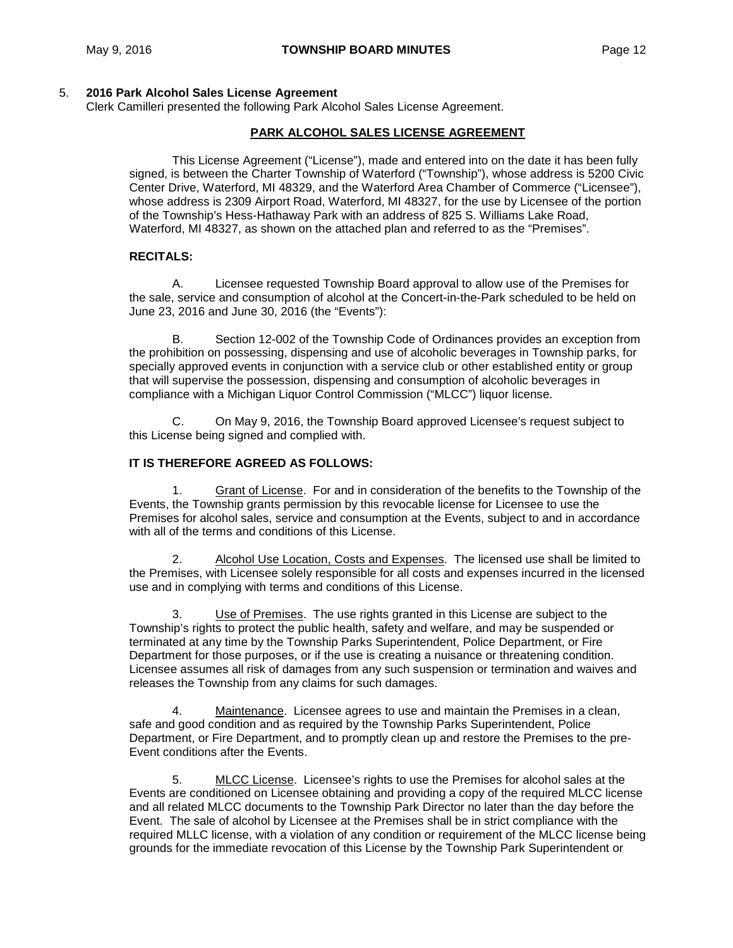#### 5. **2016 Park Alcohol Sales License Agreement**

Clerk Camilleri presented the following Park Alcohol Sales License Agreement.

#### **PARK ALCOHOL SALES LICENSE AGREEMENT**

This License Agreement ("License"), made and entered into on the date it has been fully signed, is between the Charter Township of Waterford ("Township"), whose address is 5200 Civic Center Drive, Waterford, MI 48329, and the Waterford Area Chamber of Commerce ("Licensee"), whose address is 2309 Airport Road, Waterford, MI 48327, for the use by Licensee of the portion of the Township's Hess-Hathaway Park with an address of 825 S. Williams Lake Road, Waterford, MI 48327, as shown on the attached plan and referred to as the "Premises".

#### **RECITALS:**

A. Licensee requested Township Board approval to allow use of the Premises for the sale, service and consumption of alcohol at the Concert-in-the-Park scheduled to be held on June 23, 2016 and June 30, 2016 (the "Events"):

B. Section 12-002 of the Township Code of Ordinances provides an exception from the prohibition on possessing, dispensing and use of alcoholic beverages in Township parks, for specially approved events in conjunction with a service club or other established entity or group that will supervise the possession, dispensing and consumption of alcoholic beverages in compliance with a Michigan Liquor Control Commission ("MLCC") liquor license.

C. On May 9, 2016, the Township Board approved Licensee's request subject to this License being signed and complied with.

#### **IT IS THEREFORE AGREED AS FOLLOWS:**

1. Grant of License. For and in consideration of the benefits to the Township of the Events, the Township grants permission by this revocable license for Licensee to use the Premises for alcohol sales, service and consumption at the Events, subject to and in accordance with all of the terms and conditions of this License.

2. Alcohol Use Location, Costs and Expenses. The licensed use shall be limited to the Premises, with Licensee solely responsible for all costs and expenses incurred in the licensed use and in complying with terms and conditions of this License.

3. Use of Premises. The use rights granted in this License are subject to the Township's rights to protect the public health, safety and welfare, and may be suspended or terminated at any time by the Township Parks Superintendent, Police Department, or Fire Department for those purposes, or if the use is creating a nuisance or threatening condition. Licensee assumes all risk of damages from any such suspension or termination and waives and releases the Township from any claims for such damages.

4. Maintenance. Licensee agrees to use and maintain the Premises in a clean, safe and good condition and as required by the Township Parks Superintendent, Police Department, or Fire Department, and to promptly clean up and restore the Premises to the pre-Event conditions after the Events.

5. MLCC License. Licensee's rights to use the Premises for alcohol sales at the Events are conditioned on Licensee obtaining and providing a copy of the required MLCC license and all related MLCC documents to the Township Park Director no later than the day before the Event. The sale of alcohol by Licensee at the Premises shall be in strict compliance with the required MLLC license, with a violation of any condition or requirement of the MLCC license being grounds for the immediate revocation of this License by the Township Park Superintendent or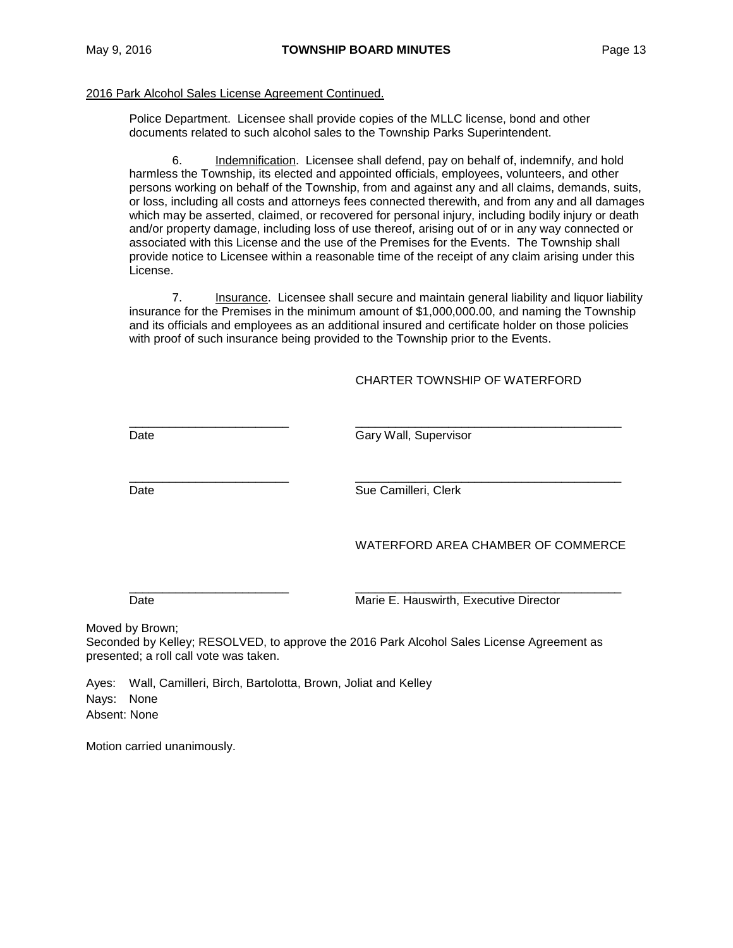#### 2016 Park Alcohol Sales License Agreement Continued.

Police Department. Licensee shall provide copies of the MLLC license, bond and other documents related to such alcohol sales to the Township Parks Superintendent.

6. Indemnification. Licensee shall defend, pay on behalf of, indemnify, and hold harmless the Township, its elected and appointed officials, employees, volunteers, and other persons working on behalf of the Township, from and against any and all claims, demands, suits, or loss, including all costs and attorneys fees connected therewith, and from any and all damages which may be asserted, claimed, or recovered for personal injury, including bodily injury or death and/or property damage, including loss of use thereof, arising out of or in any way connected or associated with this License and the use of the Premises for the Events. The Township shall provide notice to Licensee within a reasonable time of the receipt of any claim arising under this License.

7. Insurance. Licensee shall secure and maintain general liability and liquor liability insurance for the Premises in the minimum amount of \$1,000,000.00, and naming the Township and its officials and employees as an additional insured and certificate holder on those policies with proof of such insurance being provided to the Township prior to the Events.

### CHARTER TOWNSHIP OF WATERFORD

\_\_\_\_\_\_\_\_\_\_\_\_\_\_\_\_\_\_\_\_\_\_\_\_ \_\_\_\_\_\_\_\_\_\_\_\_\_\_\_\_\_\_\_\_\_\_\_\_\_\_\_\_\_\_\_\_\_\_\_\_\_\_\_\_ Date Gary Wall, Supervisor

\_\_\_\_\_\_\_\_\_\_\_\_\_\_\_\_\_\_\_\_\_\_\_\_ \_\_\_\_\_\_\_\_\_\_\_\_\_\_\_\_\_\_\_\_\_\_\_\_\_\_\_\_\_\_\_\_\_\_\_\_\_\_\_\_ Date **Sue Camilleri, Clerk** 

WATERFORD AREA CHAMBER OF COMMERCE

\_\_\_\_\_\_\_\_\_\_\_\_\_\_\_\_\_\_\_\_\_\_\_\_ \_\_\_\_\_\_\_\_\_\_\_\_\_\_\_\_\_\_\_\_\_\_\_\_\_\_\_\_\_\_\_\_\_\_\_\_\_\_\_\_

Date **Marie E. Hauswirth, Executive Director** Marie E. Hauswirth, Executive Director

Moved by Brown;

Seconded by Kelley; RESOLVED, to approve the 2016 Park Alcohol Sales License Agreement as presented; a roll call vote was taken.

Ayes: Wall, Camilleri, Birch, Bartolotta, Brown, Joliat and Kelley Nays: None Absent: None

Motion carried unanimously.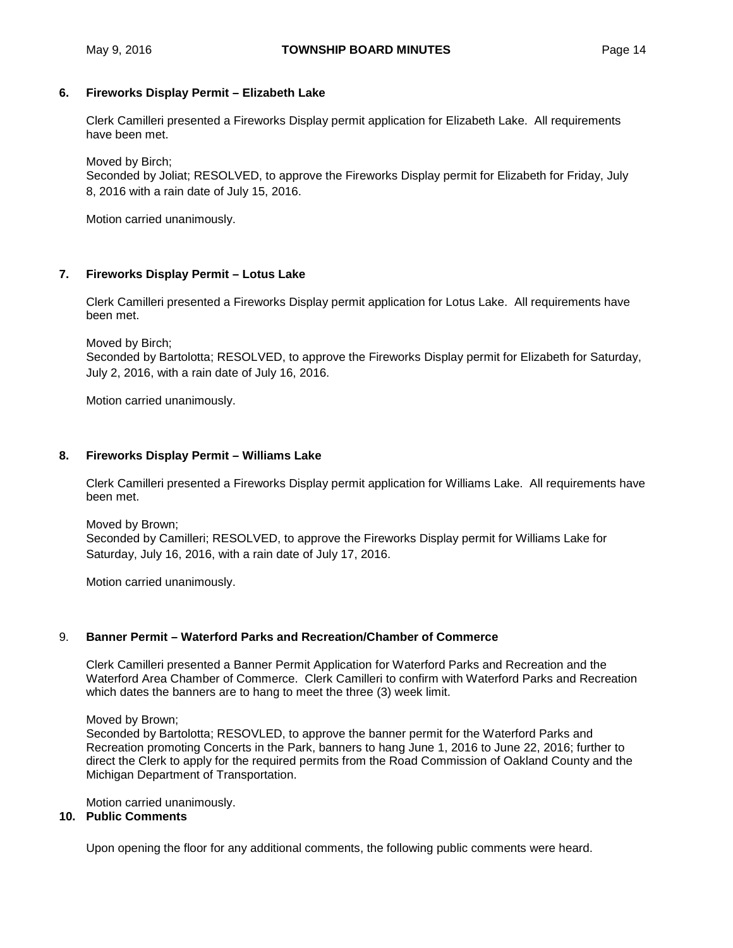# **6. Fireworks Display Permit – Elizabeth Lake**

Clerk Camilleri presented a Fireworks Display permit application for Elizabeth Lake. All requirements have been met.

Moved by Birch;

Seconded by Joliat; RESOLVED, to approve the Fireworks Display permit for Elizabeth for Friday, July 8, 2016 with a rain date of July 15, 2016.

Motion carried unanimously.

# **7. Fireworks Display Permit – Lotus Lake**

Clerk Camilleri presented a Fireworks Display permit application for Lotus Lake. All requirements have been met.

Moved by Birch; Seconded by Bartolotta; RESOLVED, to approve the Fireworks Display permit for Elizabeth for Saturday, July 2, 2016, with a rain date of July 16, 2016.

Motion carried unanimously.

# **8. Fireworks Display Permit – Williams Lake**

Clerk Camilleri presented a Fireworks Display permit application for Williams Lake. All requirements have been met.

Moved by Brown; Seconded by Camilleri; RESOLVED, to approve the Fireworks Display permit for Williams Lake for Saturday, July 16, 2016, with a rain date of July 17, 2016.

Motion carried unanimously.

# 9. **Banner Permit – Waterford Parks and Recreation/Chamber of Commerce**

Clerk Camilleri presented a Banner Permit Application for Waterford Parks and Recreation and the Waterford Area Chamber of Commerce. Clerk Camilleri to confirm with Waterford Parks and Recreation which dates the banners are to hang to meet the three (3) week limit.

Moved by Brown;

Seconded by Bartolotta; RESOVLED, to approve the banner permit for the Waterford Parks and Recreation promoting Concerts in the Park, banners to hang June 1, 2016 to June 22, 2016; further to direct the Clerk to apply for the required permits from the Road Commission of Oakland County and the Michigan Department of Transportation.

Motion carried unanimously.

# **10. Public Comments**

Upon opening the floor for any additional comments, the following public comments were heard.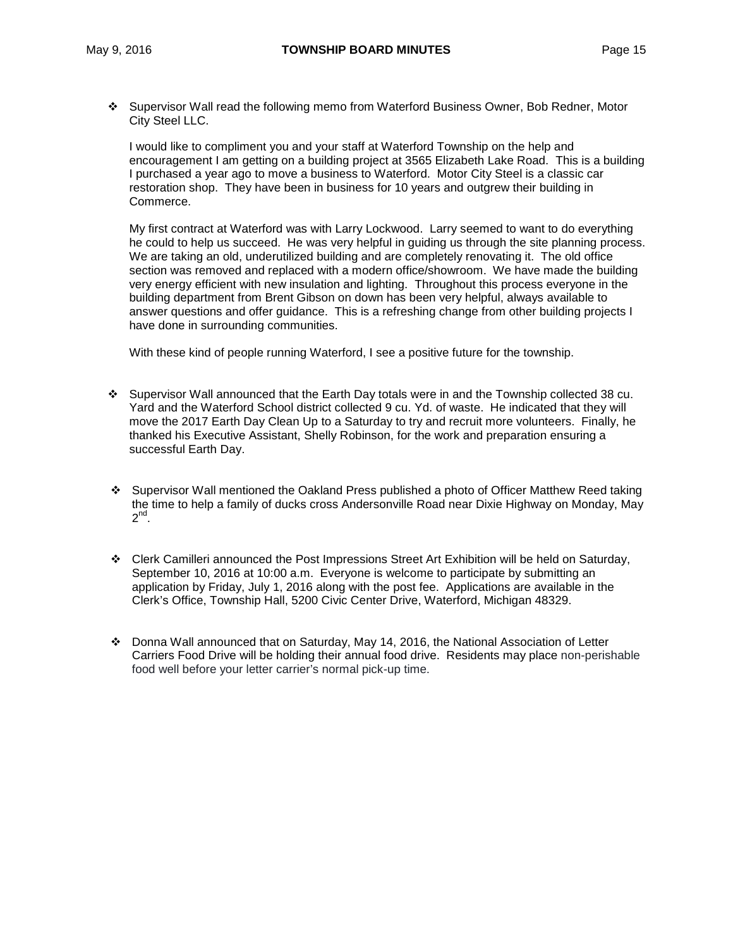Supervisor Wall read the following memo from Waterford Business Owner, Bob Redner, Motor City Steel LLC.

I would like to compliment you and your staff at Waterford Township on the help and encouragement I am getting on a building project at 3565 Elizabeth Lake Road. This is a building I purchased a year ago to move a business to Waterford. Motor City Steel is a classic car restoration shop. They have been in business for 10 years and outgrew their building in Commerce.

My first contract at Waterford was with Larry Lockwood. Larry seemed to want to do everything he could to help us succeed. He was very helpful in guiding us through the site planning process. We are taking an old, underutilized building and are completely renovating it. The old office section was removed and replaced with a modern office/showroom. We have made the building very energy efficient with new insulation and lighting. Throughout this process everyone in the building department from Brent Gibson on down has been very helpful, always available to answer questions and offer guidance. This is a refreshing change from other building projects I have done in surrounding communities.

With these kind of people running Waterford, I see a positive future for the township.

- Supervisor Wall announced that the Earth Day totals were in and the Township collected 38 cu. Yard and the Waterford School district collected 9 cu. Yd. of waste. He indicated that they will move the 2017 Earth Day Clean Up to a Saturday to try and recruit more volunteers. Finally, he thanked his Executive Assistant, Shelly Robinson, for the work and preparation ensuring a successful Earth Day.
- Supervisor Wall mentioned the Oakland Press published a photo of Officer Matthew Reed taking the time to help a family of ducks cross Andersonville Road near Dixie Highway on Monday, May  $2^{nd}$ .
- Clerk Camilleri announced the Post Impressions Street Art Exhibition will be held on Saturday, September 10, 2016 at 10:00 a.m. Everyone is welcome to participate by submitting an application by Friday, July 1, 2016 along with the post fee. Applications are available in the Clerk's Office, Township Hall, 5200 Civic Center Drive, Waterford, Michigan 48329.
- Donna Wall announced that on Saturday, May 14, 2016, the National Association of Letter Carriers Food Drive will be holding their annual food drive. Residents may place non-perishable food well before your letter carrier's normal pick-up time.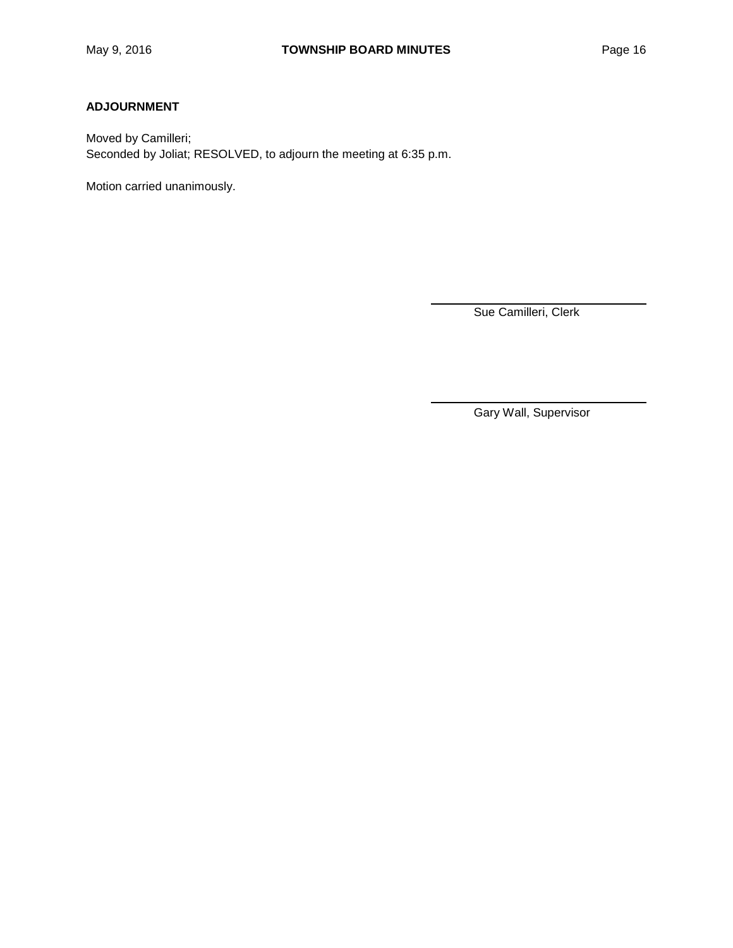# **ADJOURNMENT**

Moved by Camilleri; Seconded by Joliat; RESOLVED, to adjourn the meeting at 6:35 p.m.

Motion carried unanimously.

Sue Camilleri, Clerk

Gary Wall, Supervisor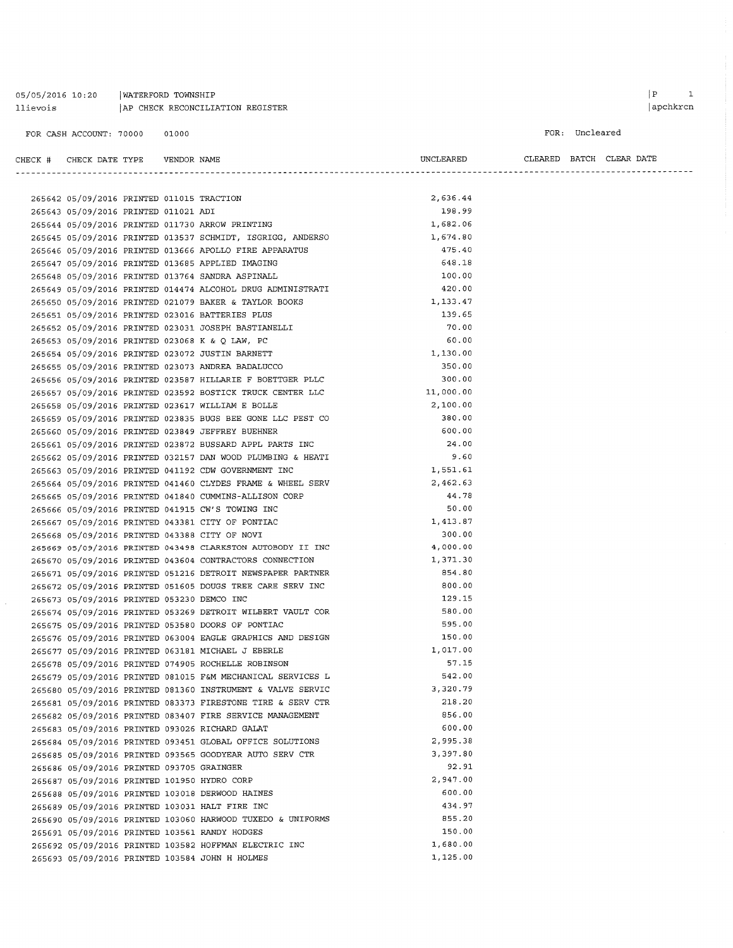#### 05/05/2016 10:20 | WATERFORD TOWNSHIP  $[{\small \texttt{AP} \texttt{CHECK} \texttt{RECONCLIATION REGISTER} }$

#### FOR CASH ACCOUNT: 70000 01000

 $\begin{minipage}{0.9\linewidth} \textbf{ULEAREN} \textbf{BATCH} \textbf{CLEAR} \textbf{DATE} \end{minipage}$ 

FOR: Uncleared

 $\begin{tabular}{lllll} \bf CHECK & \tt & \tt CHECK & \tt DATE & \tt YFPE & \tt & \tt VENDOR & \tt NAME \end{tabular}$ 

| 265642 05/09/2016 PRINTED 011015 TRACTION   |  |                                                            | 2,636.44  |
|---------------------------------------------|--|------------------------------------------------------------|-----------|
| 265643 05/09/2016 PRINTED 011021 ADI        |  |                                                            | 198.99    |
|                                             |  | 265644 05/09/2016 PRINTED 011730 ARROW PRINTING            | 1,682.06  |
|                                             |  | 265645 05/09/2016 PRINTED 013537 SCHMIDT, ISGRIGG, ANDERSO | 1,674.80  |
|                                             |  | 265646 05/09/2016 PRINTED 013666 APOLLO FIRE APPARATUS     | 475.40    |
|                                             |  | 265647 05/09/2016 PRINTED 013685 APPLIED IMAGING           | 648.18    |
|                                             |  | 265648 05/09/2016 PRINTED 013764 SANDRA ASPINALL           | 100.00    |
|                                             |  | 265649 05/09/2016 PRINTED 014474 ALCOHOL DRUG ADMINISTRATI | 420.00    |
|                                             |  | 265650 05/09/2016 PRINTED 021079 BAKER & TAYLOR BOOKS      | 1,133.47  |
|                                             |  | 265651 05/09/2016 PRINTED 023016 BATTERIES PLUS            | 139.65    |
|                                             |  | 265652 05/09/2016 PRINTED 023031 JOSEPH BASTIANELLI        | 70.00     |
|                                             |  | 265653 05/09/2016 PRINTED 023068 K & Q LAW, PC             | 60.00     |
|                                             |  | 265654 05/09/2016 PRINTED 023072 JUSTIN BARNETT            | 1,130.00  |
|                                             |  | 265655 05/09/2016 PRINTED 023073 ANDREA BADALUCCO          | 350.00    |
|                                             |  | 265656 05/09/2016 PRINTED 023587 HILLARIE F BOETTGER PLLC  | 300.00    |
|                                             |  | 265657 05/09/2016 PRINTED 023592 BOSTICK TRUCK CENTER LLC  | 11,000.00 |
|                                             |  | 265658 05/09/2016 PRINTED 023617 WILLIAM E BOLLE           | 2,100.00  |
|                                             |  | 265659 05/09/2016 PRINTED 023835 BUGS BEE GONE LLC PEST CO | 380.00    |
|                                             |  | 265660 05/09/2016 PRINTED 023849 JEFFREY BUEHNER           | 600.00    |
|                                             |  | 265661 05/09/2016 PRINTED 023872 BUSSARD APPL PARTS INC    | 24.00     |
|                                             |  | 265662 05/09/2016 PRINTED 032157 DAN WOOD PLUMBING & HEATI | 9.60      |
|                                             |  | 265663 05/09/2016 PRINTED 041192 CDW GOVERNMENT INC        | 1,551.61  |
|                                             |  | 265664 05/09/2016 PRINTED 041460 CLYDES FRAME & WHEEL SERV | 2,462.63  |
|                                             |  | 265665 05/09/2016 PRINTED 041840 CUMMINS-ALLISON CORP      | 44.78     |
|                                             |  | 265666 05/09/2016 PRINTED 041915 CW'S TOWING INC           | 50.00     |
|                                             |  | 265667 05/09/2016 PRINTED 043381 CITY OF PONTIAC           | 1,413.87  |
|                                             |  | 265668 05/09/2016 PRINTED 043388 CITY OF NOVI              | 300.00    |
|                                             |  | 265669 05/09/2016 PRINTED 043498 CLARKSTON AUTOBODY II INC | 4,000.00  |
|                                             |  | 265670 05/09/2016 PRINTED 043604 CONTRACTORS CONNECTION    | 1,371.30  |
|                                             |  | 265671 05/09/2016 PRINTED 051216 DETROIT NEWSPAPER PARTNER | 854.80    |
|                                             |  | 265672 05/09/2016 PRINTED 051605 DOUGS TREE CARE SERV INC  | 800.00    |
| 265673 05/09/2016 PRINTED 053230 DEMCO INC  |  |                                                            | 129.15    |
|                                             |  | 265674 05/09/2016 PRINTED 053269 DETROIT WILBERT VAULT COR | 580.00    |
|                                             |  | 265675 05/09/2016 PRINTED 053580 DOORS OF PONTIAC          | 595.00    |
|                                             |  | 265676 05/09/2016 PRINTED 063004 EAGLE GRAPHICS AND DESIGN | 150.00    |
|                                             |  | 265677 05/09/2016 PRINTED 063181 MICHAEL J EBERLE          | 1,017.00  |
|                                             |  | 265678 05/09/2016 PRINTED 074905 ROCHELLE ROBINSON         | 57.15     |
|                                             |  | 265679 05/09/2016 PRINTED 081015 F&M MECHANICAL SERVICES L | 542.00    |
|                                             |  | 265680 05/09/2016 PRINTED 081360 INSTRUMENT & VALVE SERVIC | 3,320.79  |
|                                             |  | 265681 05/09/2016 PRINTED 083373 FIRESTONE TIRE & SERV CTR | 218.20    |
|                                             |  | 265682 05/09/2016 PRINTED 083407 FIRE SERVICE MANAGEMENT   | 856.00    |
|                                             |  | 265683 05/09/2016 PRINTED 093026 RICHARD GALAT             | 600.00    |
|                                             |  | 265684 05/09/2016 PRINTED 093451 GLOBAL OFFICE SOLUTIONS   | 2,995.38  |
|                                             |  | 265685 05/09/2016 PRINTED 093565 GOODYEAR AUTO SERV CTR    | 3,397.80  |
| 265686 05/09/2016 PRINTED 093705 GRAINGER   |  |                                                            | 92.91     |
| 265687 05/09/2016 PRINTED 101950 HYDRO CORP |  |                                                            | 2,947.00  |
|                                             |  | 265688 05/09/2016 PRINTED 103018 DERWOOD HAINES            | 600.00    |
|                                             |  | 265689 05/09/2016 PRINTED 103031 HALT FIRE INC             | 434.97    |
|                                             |  | 265690 05/09/2016 PRINTED 103060 HARWOOD TUXEDO & UNIFORMS | 855.20    |
|                                             |  | 265691 05/09/2016 PRINTED 103561 RANDY HODGES              | 150.00    |
|                                             |  | 265692 05/09/2016 PRINTED 103582 HOFFMAN ELECTRIC INC      | 1,680.00  |
|                                             |  | 265693 05/09/2016 PRINTED 103584 JOHN H HOLMES             | 1,125.00  |
|                                             |  |                                                            |           |
|                                             |  |                                                            |           |

 $\begin{array}{ccc} \mid & \mathbf{P} & \mathbf{I} \end{array}$  $|apchkrcn$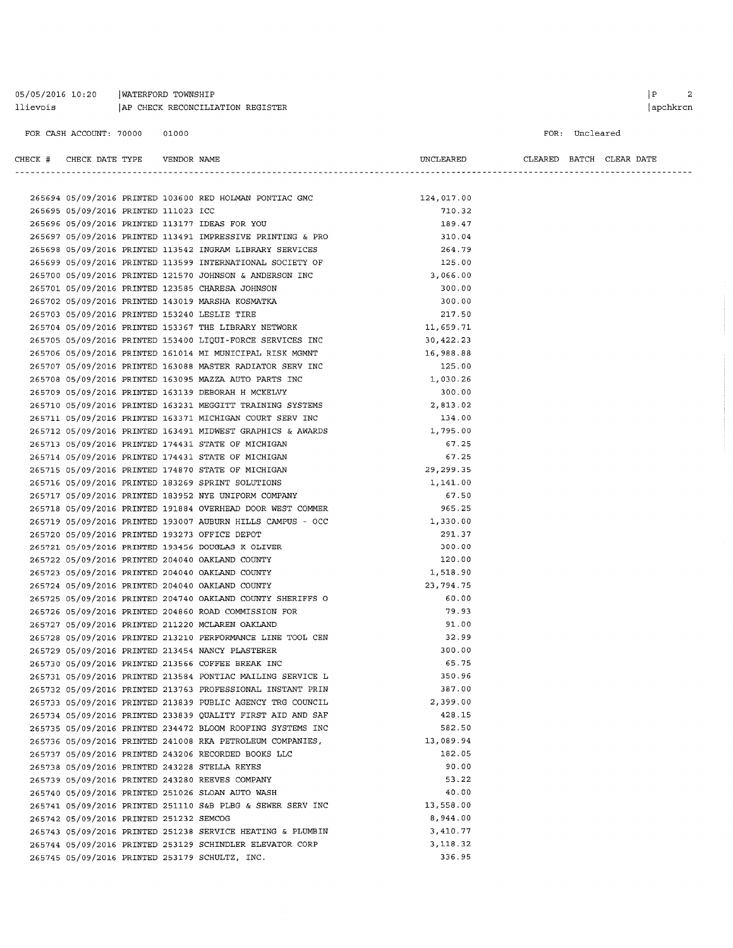# 05/05/2016 10:20 | WATERFORD TOWNSHIP llievois | AP CHECK RECONCILIATION REGISTER

#### FOR CASH ACCOUNT: 70000 01000

FOR: Uncleared

| CHECK # CHECK DATE TYPE                       | VENDOR NAME |                                                            | UNCLEARED  |  | CLEARED BATCH CLEAR DATE |
|-----------------------------------------------|-------------|------------------------------------------------------------|------------|--|--------------------------|
|                                               |             |                                                            |            |  |                          |
|                                               |             | 265694 05/09/2016 PRINTED 103600 RED HOLMAN PONTIAC GMC    | 124,017.00 |  |                          |
| 265695 05/09/2016 PRINTED 111023 ICC          |             |                                                            | 710.32     |  |                          |
|                                               |             | 265696 05/09/2016 PRINTED 113177 IDEAS FOR YOU             | 189.47     |  |                          |
|                                               |             | 265697 05/09/2016 PRINTED 113491 IMPRESSIVE PRINTING & PRO | 310.04     |  |                          |
|                                               |             | 265698 05/09/2016 PRINTED 113542 INGRAM LIBRARY SERVICES   | 264.79     |  |                          |
|                                               |             | 265699 05/09/2016 PRINTED 113599 INTERNATIONAL SOCIETY OF  | 125.00     |  |                          |
|                                               |             | 265700 05/09/2016 PRINTED 121570 JOHNSON & ANDERSON INC    | 3,066.00   |  |                          |
|                                               |             | 265701 05/09/2016 PRINTED 123585 CHARESA JOHNSON           | 300.00     |  |                          |
|                                               |             | 265702 05/09/2016 PRINTED 143019 MARSHA KOSMATKA           | 300.00     |  |                          |
| 265703 05/09/2016 PRINTED 153240 LESLIE TIRE  |             |                                                            | 217.50     |  |                          |
|                                               |             | 265704 05/09/2016 PRINTED 153367 THE LIBRARY NETWORK       | 11,659.71  |  |                          |
|                                               |             | 265705 05/09/2016 PRINTED 153400 LIQUI-FORCE SERVICES INC  | 30,422.23  |  |                          |
|                                               |             | 265706 05/09/2016 PRINTED 161014 MI MUNICIPAL RISK MGMNT   | 16,988.88  |  |                          |
|                                               |             | 265707 05/09/2016 PRINTED 163088 MASTER RADIATOR SERV INC  | 125.00     |  |                          |
|                                               |             | 265708 05/09/2016 PRINTED 163095 MAZZA AUTO PARTS INC      | 1,030.26   |  |                          |
|                                               |             | 265709 05/09/2016 PRINTED 163139 DEBORAH H MCKELVY         | 300.00     |  |                          |
|                                               |             | 265710 05/09/2016 PRINTED 163231 MEGGITT TRAINING SYSTEMS  | 2,813.02   |  |                          |
|                                               |             | 265711 05/09/2016 PRINTED 163371 MICHIGAN COURT SERV INC   | 134.00     |  |                          |
|                                               |             | 265712 05/09/2016 PRINTED 163491 MIDWEST GRAPHICS & AWARDS | 1,795.00   |  |                          |
|                                               |             | 265713 05/09/2016 PRINTED 174431 STATE OF MICHIGAN         | 67.25      |  |                          |
|                                               |             | 265714 05/09/2016 PRINTED 174431 STATE OF MICHIGAN         | 67.25      |  |                          |
|                                               |             | 265715 05/09/2016 PRINTED 174870 STATE OF MICHIGAN         | 29,299.35  |  |                          |
|                                               |             | 265716 05/09/2016 PRINTED 183269 SPRINT SOLUTIONS          | 1,141.00   |  |                          |
|                                               |             | 265717 05/09/2016 PRINTED 183952 NYE UNIFORM COMPANY       | 67.50      |  |                          |
|                                               |             | 265718 05/09/2016 PRINTED 191884 OVERHEAD DOOR WEST COMMER | 965.25     |  |                          |
|                                               |             |                                                            | 1,330.00   |  |                          |
| 265720 05/09/2016 PRINTED 193273 OFFICE DEPOT |             | 265719 05/09/2016 PRINTED 193007 AUBURN HILLS CAMPUS - OCC | 291.37     |  |                          |
|                                               |             | 265721 05/09/2016 PRINTED 193456 DOUGLAS K OLIVER          | 300.00     |  |                          |
|                                               |             | 265722 05/09/2016 PRINTED 204040 OAKLAND COUNTY            | 120.00     |  |                          |
|                                               |             | 265723 05/09/2016 PRINTED 204040 OAKLAND COUNTY            | 1,518.90   |  |                          |
|                                               |             | 265724 05/09/2016 PRINTED 204040 OAKLAND COUNTY            | 23,794.75  |  |                          |
|                                               |             | 265725 05/09/2016 PRINTED 204740 OAKLAND COUNTY SHERIFFS O | 60.00      |  |                          |
|                                               |             | 265726 05/09/2016 PRINTED 204860 ROAD COMMISSION FOR       | 79.93      |  |                          |
|                                               |             | 265727 05/09/2016 PRINTED 211220 MCLAREN OAKLAND           | 91.00      |  |                          |
|                                               |             | 265728 05/09/2016 PRINTED 213210 PERFORMANCE LINE TOOL CEN | 32.99      |  |                          |
|                                               |             | 265729 05/09/2016 PRINTED 213454 NANCY PLASTERER           | 300.00     |  |                          |
|                                               |             | 265730 05/09/2016 PRINTED 213566 COFFEE BREAK INC          | 65.75      |  |                          |
|                                               |             | 265731 05/09/2016 PRINTED 213584 PONTIAC MAILING SERVICE L | 350.96     |  |                          |
|                                               |             | 265732 05/09/2016 PRINTED 213763 PROFESSIONAL INSTANT PRIN | 387.00     |  |                          |
|                                               |             | 265733 05/09/2016 PRINTED 213839 PUBLIC AGENCY TRG COUNCIL | 2,399.00   |  |                          |
|                                               |             | 265734 05/09/2016 PRINTED 233839 QUALITY FIRST AID AND SAF | 428.15     |  |                          |
|                                               |             | 265735 05/09/2016 PRINTED 234472 BLOOM ROOFING SYSTEMS INC | 582.50     |  |                          |
|                                               |             | 265736 05/09/2016 PRINTED 241008 RKA PETROLEUM COMPANIES,  | 13,089.94  |  |                          |
|                                               |             | 265737 05/09/2016 PRINTED 243206 RECORDED BOOKS LLC        | 182.05     |  |                          |
| 265738 05/09/2016 PRINTED 243228 STELLA REYES |             |                                                            | 90.00      |  |                          |
|                                               |             | 265739 05/09/2016 PRINTED 243280 REEVES COMPANY            | 53.22      |  |                          |
|                                               |             | 265740 05/09/2016 PRINTED 251026 SLOAN AUTO WASH           | 40.00      |  |                          |
|                                               |             | 265741 05/09/2016 PRINTED 251110 S&B PLBG & SEWER SERV INC | 13,558.00  |  |                          |
| 265742 05/09/2016 PRINTED 251232 SEMCOG       |             |                                                            | 8,944.00   |  |                          |
|                                               |             | 265743 05/09/2016 PRINTED 251238 SERVICE HEATING & PLUMBIN | 3,410.77   |  |                          |
|                                               |             | 265744 05/09/2016 PRINTED 253129 SCHINDLER ELEVATOR CORP   | 3,118.32   |  |                          |
|                                               |             | 265745 05/09/2016 PRINTED 253179 SCHULTZ, INC.             | 336.95     |  |                          |
|                                               |             |                                                            |            |  |                          |

# $\begin{array}{ccc} \mid P & 2 \end{array}$

apchkrcn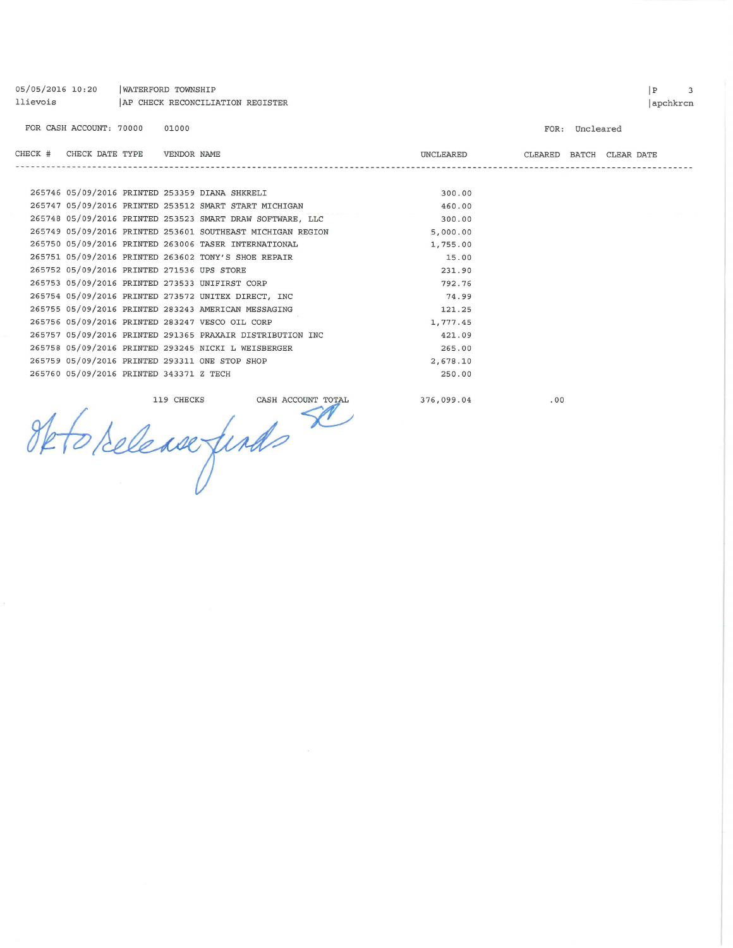|         | 05/05/2016 10:20<br><b>WATERFORD TOWNSHIP</b><br>llievois<br>AP CHECK RECONCILIATION REGISTER |  |             |                                                            |                  |         |                |                  |  |
|---------|-----------------------------------------------------------------------------------------------|--|-------------|------------------------------------------------------------|------------------|---------|----------------|------------------|--|
|         | FOR CASH ACCOUNT: 70000                                                                       |  | 01000       |                                                            |                  |         | FOR: Uncleared |                  |  |
| CHECK # | CHECK DATE TYPE                                                                               |  | VENDOR NAME | -------------------------                                  | <b>UNCLEARED</b> | CLEARED |                | BATCH CLEAR DATE |  |
|         |                                                                                               |  |             | 265746 05/09/2016 PRINTED 253359 DIANA SHKRELI             | 300.00           |         |                |                  |  |
|         |                                                                                               |  |             | 265747 05/09/2016 PRINTED 253512 SMART START MICHIGAN      | 460.00           |         |                |                  |  |
|         |                                                                                               |  |             | 265748 05/09/2016 PRINTED 253523 SMART DRAW SOFTWARE, LLC  | 300.00           |         |                |                  |  |
|         |                                                                                               |  |             | 265749 05/09/2016 PRINTED 253601 SOUTHEAST MICHIGAN REGION | 5,000.00         |         |                |                  |  |
|         |                                                                                               |  |             | 265750 05/09/2016 PRINTED 263006 TASER INTERNATIONAL       | 1,755.00         |         |                |                  |  |
|         |                                                                                               |  |             | 265751 05/09/2016 PRINTED 263602 TONY'S SHOE REPAIR        | 15.00            |         |                |                  |  |
|         | 265752 05/09/2016 PRINTED 271536 UPS STORE                                                    |  |             |                                                            | 231.90           |         |                |                  |  |
|         |                                                                                               |  |             | 265753 05/09/2016 PRINTED 273533 UNIFIRST CORP             | 792.76           |         |                |                  |  |
|         |                                                                                               |  |             | 265754 05/09/2016 PRINTED 273572 UNITEX DIRECT, INC        | 74.99            |         |                |                  |  |
|         |                                                                                               |  |             | 265755 05/09/2016 PRINTED 283243 AMERICAN MESSAGING        | 121.25           |         |                |                  |  |
|         |                                                                                               |  |             | 265756 05/09/2016 PRINTED 283247 VESCO OIL CORP            | 1,777.45         |         |                |                  |  |
|         |                                                                                               |  |             | 265757 05/09/2016 PRINTED 291365 PRAXAIR DISTRIBUTION INC  | 421.09           |         |                |                  |  |
|         |                                                                                               |  |             | 265758 05/09/2016 PRINTED 293245 NICKI L WEISBERGER        | 265.00           |         |                |                  |  |
|         |                                                                                               |  |             | 265759 05/09/2016 PRINTED 293311 ONE STOP SHOP             | 2,678.10         |         |                |                  |  |
|         | 265760 05/09/2016 PRINTED 343371 Z TECH                                                       |  |             |                                                            | 250.00           |         |                |                  |  |
|         |                                                                                               |  | 119 CHECKS  | CASH ACCOUNT TOTAL<br>we finds                             | 376,099.04       | .00     |                |                  |  |
|         |                                                                                               |  |             |                                                            |                  |         |                |                  |  |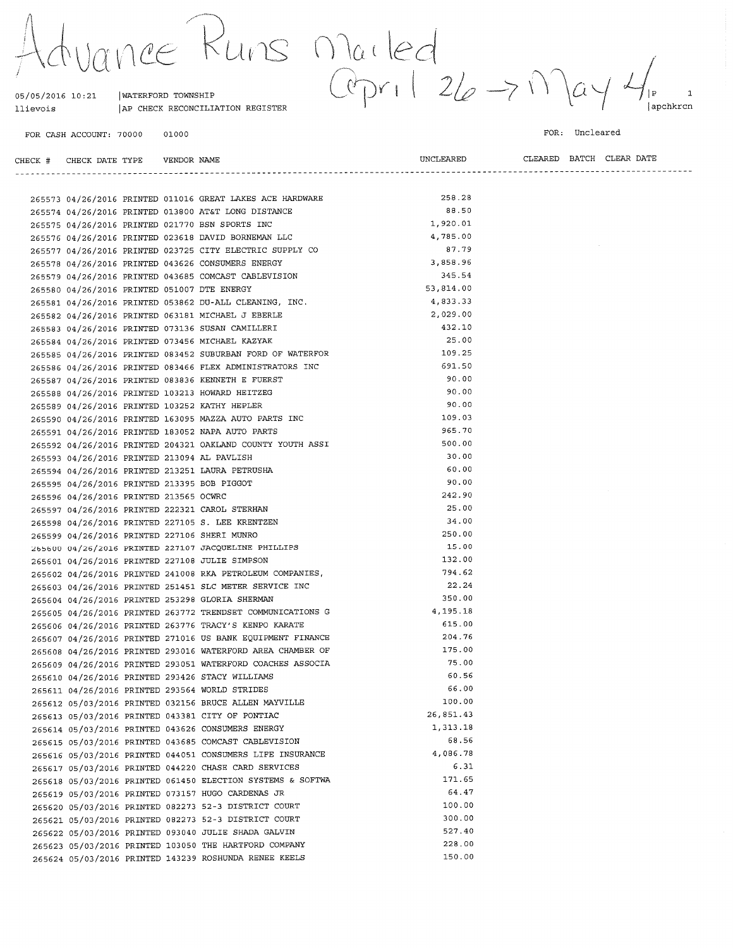$\gamma \cap \gamma \in$ 

AP CHECK RECONCILIATION REGISTER

| WATERFORD TOWNSHIP

 $2410s$  Marled<br>Copril 26 > M  $\overline{a}$  $\mathbf{1}$  $|p|$ apchkrcn

FOR CASH ACCOUNT: 70000 01000

05/05/2016 10:21

llievois

FOR: Uncleared

| CHECK # CHECK DATE TYPE    VENDOR NAME |  |                                                                                                           | UNCLEARED |  | CLEARED BATCH CLEAR DATE |
|----------------------------------------|--|-----------------------------------------------------------------------------------------------------------|-----------|--|--------------------------|
|                                        |  |                                                                                                           |           |  |                          |
|                                        |  | 265573 04/26/2016 PRINTED 011016 GREAT LAKES ACE HARDWARE                                                 | 258.28    |  |                          |
|                                        |  | 265574 04/26/2016 PRINTED 013800 AT&T LONG DISTANCE                                                       | 88.50     |  |                          |
|                                        |  | 265575 04/26/2016 PRINTED 021770 BSN SPORTS INC                                                           | 1,920.01  |  |                          |
|                                        |  | 265576 04/26/2016 PRINTED 023618 DAVID BORNEMAN LLC                                                       | 4,785.00  |  |                          |
|                                        |  | 265577 04/26/2016 PRINTED 023725 CITY ELECTRIC SUPPLY CO                                                  | 87.79     |  |                          |
|                                        |  | 265578 04/26/2016 PRINTED 043626 CONSUMERS ENERGY                                                         | 3,858.96  |  |                          |
|                                        |  | 265579 04/26/2016 PRINTED 043685 COMCAST CABLEVISION                                                      | 345.54    |  |                          |
|                                        |  | 265580 04/26/2016 PRINTED 051007 DTE ENERGY                                                               | 53,814.00 |  |                          |
|                                        |  | 265581 04/26/2016 PRINTED 053862 DU-ALL CLEANING, INC.                                                    | 4,833.33  |  |                          |
|                                        |  | 265582 04/26/2016 PRINTED 063181 MICHAEL J EBERLE                                                         | 2,029.00  |  |                          |
|                                        |  | 265583 04/26/2016 PRINTED 073136 SUSAN CAMILLERI                                                          | 432.10    |  |                          |
|                                        |  | 265584 04/26/2016 PRINTED 073456 MICHAEL KAZYAK                                                           | 25.00     |  |                          |
|                                        |  | 265585 04/26/2016 PRINTED 083452 SUBURBAN FORD OF WATERFOR                                                | 109.25    |  |                          |
|                                        |  | 265586 04/26/2016 PRINTED 083466 FLEX ADMINISTRATORS INC                                                  | 691.50    |  |                          |
|                                        |  | 265587 04/26/2016 PRINTED 083836 KENNETH E FUERST                                                         | 90.00     |  |                          |
|                                        |  | 265588 04/26/2016 PRINTED 103213 HOWARD HEITZEG                                                           | 90.00     |  |                          |
|                                        |  | 265589 04/26/2016 PRINTED 103252 KATHY HEPLER                                                             | 90.00     |  |                          |
|                                        |  | 265590 04/26/2016 PRINTED 163095 MAZZA AUTO PARTS INC                                                     | 109.03    |  |                          |
|                                        |  | 265591 04/26/2016 PRINTED 183052 NAPA AUTO PARTS                                                          | 965.70    |  |                          |
|                                        |  |                                                                                                           | 500.00    |  |                          |
|                                        |  | 265592 04/26/2016 PRINTED 204321 OAKLAND COUNTY YOUTH ASSI<br>265593 04/26/2016 PRINTED 213094 AL PAVLISH | 30.00     |  |                          |
|                                        |  | 265594 04/26/2016 PRINTED 213251 LAURA PETRUSHA                                                           | 60.00     |  |                          |
|                                        |  | 265595 04/26/2016 PRINTED 213395 BOB PIGGOT                                                               | 90.00     |  |                          |
| 265596 04/26/2016 PRINTED 213565 OCWRC |  |                                                                                                           | 242.90    |  |                          |
|                                        |  | 265597 04/26/2016 PRINTED 222321 CAROL STERHAN                                                            | 25.00     |  |                          |
|                                        |  | 265598 04/26/2016 PRINTED 227105 S. LEE KRENTZEN                                                          | 34.00     |  |                          |
|                                        |  | 265599 04/26/2016 PRINTED 227106 SHERI MUNRO                                                              | 250.00    |  |                          |
|                                        |  | 265600 04/26/2016 PRINTED 227107 JACQUELINE PHILLIPS                                                      | 15.00     |  |                          |
|                                        |  | 265601 04/26/2016 PRINTED 227108 JULIE SIMPSON                                                            | 132.00    |  |                          |
|                                        |  | 265602 04/26/2016 PRINTED 241008 RKA PETROLEUM COMPANIES,                                                 | 794.62    |  |                          |
|                                        |  | 265603 04/26/2016 PRINTED 251451 SLC METER SERVICE INC                                                    | 22.24     |  |                          |
|                                        |  | 265604 04/26/2016 PRINTED 253298 GLORIA SHERMAN                                                           | 350.00    |  |                          |
|                                        |  | 265605 04/26/2016 PRINTED 263772 TRENDSET COMMUNICATIONS G                                                | 4,195.18  |  |                          |
|                                        |  | 265606 04/26/2016 PRINTED 263776 TRACY'S KENPO KARATE                                                     | 615.00    |  |                          |
|                                        |  | 265607 04/26/2016 PRINTED 271016 US BANK EQUIPMENT FINANCE                                                | 204.76    |  |                          |
|                                        |  | 265608 04/26/2016 PRINTED 293016 WATERFORD AREA CHAMBER OF                                                | 175.00    |  |                          |
|                                        |  | 265609 04/26/2016 PRINTED 293051 WATERFORD COACHES ASSOCIA                                                | 75.00     |  |                          |
|                                        |  | 265610 04/26/2016 PRINTED 293426 STACY WILLIAMS                                                           | 60.56     |  |                          |
|                                        |  | 265611 04/26/2016 PRINTED 293564 WORLD STRIDES                                                            | 66.00     |  |                          |
|                                        |  | 265612 05/03/2016 PRINTED 032156 BRUCE ALLEN MAYVILLE                                                     | 100.00    |  |                          |
|                                        |  | 265613 05/03/2016 PRINTED 043381 CITY OF PONTIAC                                                          | 26,851.43 |  |                          |
|                                        |  | 265614 05/03/2016 PRINTED 043626 CONSUMERS ENERGY                                                         | 1,313.18  |  |                          |
|                                        |  | 265615 05/03/2016 PRINTED 043685 COMCAST CABLEVISION                                                      | 68.56     |  |                          |
|                                        |  | 265616 05/03/2016 PRINTED 044051 CONSUMERS LIFE INSURANCE                                                 | 4,086.78  |  |                          |
|                                        |  | 265617 05/03/2016 PRINTED 044220 CHASE CARD SERVICES                                                      | 6.31      |  |                          |
|                                        |  | 265618 05/03/2016 PRINTED 061450 ELECTION SYSTEMS & SOFTWA                                                | 171.65    |  |                          |
|                                        |  | 265619 05/03/2016 PRINTED 073157 HUGO CARDENAS JR                                                         | 64.47     |  |                          |
|                                        |  | 265620 05/03/2016 PRINTED 082273 52-3 DISTRICT COURT                                                      | 100.00    |  |                          |
|                                        |  | 265621 05/03/2016 PRINTED 082273 52-3 DISTRICT COURT                                                      | 300.00    |  |                          |
|                                        |  | 265622 05/03/2016 PRINTED 093040 JULIE SHADA GALVIN                                                       | 527.40    |  |                          |
|                                        |  | 265623 05/03/2016 PRINTED 103050 THE HARTFORD COMPANY                                                     | 228.00    |  |                          |
|                                        |  | 265624 05/03/2016 PRINTED 143239 ROSHUNDA RENEE KEELS                                                     | 150.00    |  |                          |